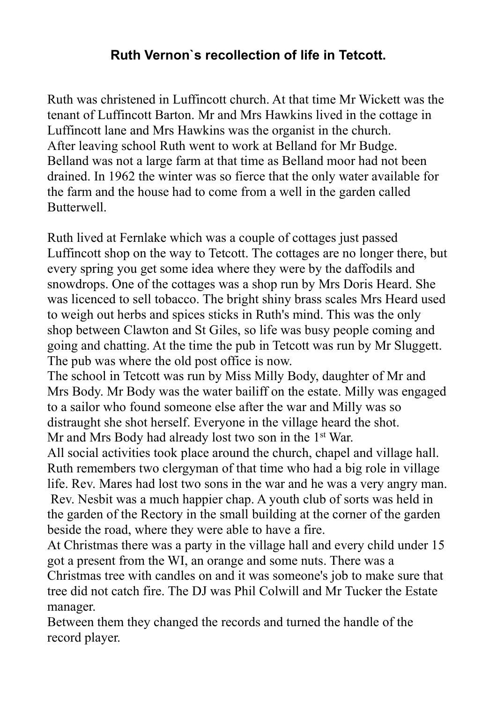## Ruth Vernon`s recollection of life in Tetcott.

Ruth was christened in Luffincott church. At that time Mr Wickett was the tenant of Luffincott Barton. Mr and Mrs Hawkins lived in the cottage in Luffincott lane and Mrs Hawkins was the organist in the church. After leaving school Ruth went to work at Belland for Mr Budge. Belland was not a large farm at that time as Belland moor had not been drained. In 1962 the winter was so fierce that the only water available for the farm and the house had to come from a well in the garden called Butterwell.

Ruth lived at Fernlake which was a couple of cottages just passed Luffincott shop on the way to Tetcott. The cottages are no longer there, but every spring you get some idea where they were by the daffodils and snowdrops. One of the cottages was a shop run by Mrs Doris Heard. She was licenced to sell tobacco. The bright shiny brass scales Mrs Heard used to weigh out herbs and spices sticks in Ruth's mind. This was the only shop between Clawton and St Giles, so life was busy people coming and going and chatting. At the time the pub in Tetcott was run by Mr Sluggett. The pub was where the old post office is now.

The school in Tetcott was run by Miss Milly Body, daughter of Mr and Mrs Body. Mr Body was the water bailiff on the estate. Milly was engaged to a sailor who found someone else after the war and Milly was so distraught she shot herself. Everyone in the village heard the shot. Mr and Mrs Body had already lost two son in the 1<sup>st</sup> War.

All social activities took place around the church, chapel and village hall. Ruth remembers two clergyman of that time who had a big role in village life. Rev. Mares had lost two sons in the war and he was a very angry man. Rev. Nesbit was a much happier chap. A youth club of sorts was held in the garden of the Rectory in the small building at the corner of the garden beside the road, where they were able to have a fire.

At Christmas there was a party in the village hall and every child under 15 got a present from the WI, an orange and some nuts. There was a Christmas tree with candles on and it was someone's job to make sure that tree did not catch fire. The DJ was Phil Colwill and Mr Tucker the Estate manager.

Between them they changed the records and turned the handle of the record player.